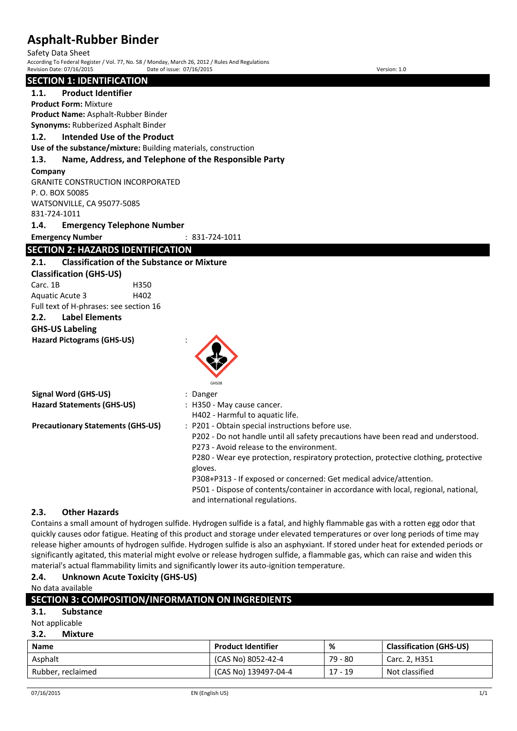Safety Data Sheet

According To Federal Register / Vol. 77, No. 58 / Monday, March 26, 2012 / Rules And Regulations Revision Date: 07/16/2015 Date of issue: 07/16/2015 Version: 1.0

# **SECTION 1: IDENTIFICATION**

**1.1. Product Identifier**

**Product Form:** Mixture **Product Name:** Asphalt-Rubber Binder

**Synonyms:** Rubberized Asphalt Binder

### **1.2. Intended Use of the Product**

**Use of the substance/mixture:** Building materials, construction

### **1.3. Name, Address, and Telephone of the Responsible Party**

#### **Company**

GRANITE CONSTRUCTION INCORPORATED P. O. BOX 50085 WATSONVILLE, CA 95077-5085 831-724-1011

### **1.4. Emergency Telephone Number**

**Emergency Number** : 831-724-1011

# **SECTION 2: HAZARDS IDENTIFICATION**

### **2.1. Classification of the Substance or Mixture**

**Classification (GHS-US)** Carc. 1B H350 Aquatic Acute 3 H402

Full text of H-phrases: see section 16 **2.2. Label Elements**

# **GHS-US Labeling**

**Hazard Pictograms (GHS-US)** :



|                                          | GHS08                                                                               |
|------------------------------------------|-------------------------------------------------------------------------------------|
| Signal Word (GHS-US)                     | Danger                                                                              |
| <b>Hazard Statements (GHS-US)</b>        | : H350 - May cause cancer.                                                          |
|                                          | H402 - Harmful to aquatic life.                                                     |
| <b>Precautionary Statements (GHS-US)</b> | : P201 - Obtain special instructions before use.                                    |
|                                          | P202 - Do not handle until all safety precautions have been read and understood.    |
|                                          | P273 - Avoid release to the environment.                                            |
|                                          | P280 - Wear eye protection, respiratory protection, protective clothing, protective |
|                                          | gloves.                                                                             |
|                                          | P308+P313 - If exposed or concerned: Get medical advice/attention.                  |
|                                          | P501 - Dispose of contents/container in accordance with local, regional, national,  |
|                                          | and international regulations.                                                      |

## **2.3. Other Hazards**

Contains a small amount of hydrogen sulfide. Hydrogen sulfide is a fatal, and highly flammable gas with a rotten egg odor that quickly causes odor fatigue. Heating of this product and storage under elevated temperatures or over long periods of time may release higher amounts of hydrogen sulfide. Hydrogen sulfide is also an asphyxiant. If stored under heat for extended periods or significantly agitated, this material might evolve or release hydrogen sulfide, a flammable gas, which can raise and widen this material's actual flammability limits and significantly lower its auto-ignition temperature.

## **2.4. Unknown Acute Toxicity (GHS-US)**

No data available

| SECTION 3: COMPOSITION/INFORMATION ON INGREDIENTS |                           |           |                                |  |
|---------------------------------------------------|---------------------------|-----------|--------------------------------|--|
| 3.1.<br><b>Substance</b>                          |                           |           |                                |  |
| Not applicable                                    |                           |           |                                |  |
| 3.2.<br><b>Mixture</b>                            |                           |           |                                |  |
| <b>Name</b>                                       | <b>Product Identifier</b> | %         | <b>Classification (GHS-US)</b> |  |
| Asphalt                                           | (CAS No) 8052-42-4        | 79 - 80   | Carc. 2, H351                  |  |
| Rubber, reclaimed                                 | (CAS No) 139497-04-4      | $17 - 19$ | Not classified                 |  |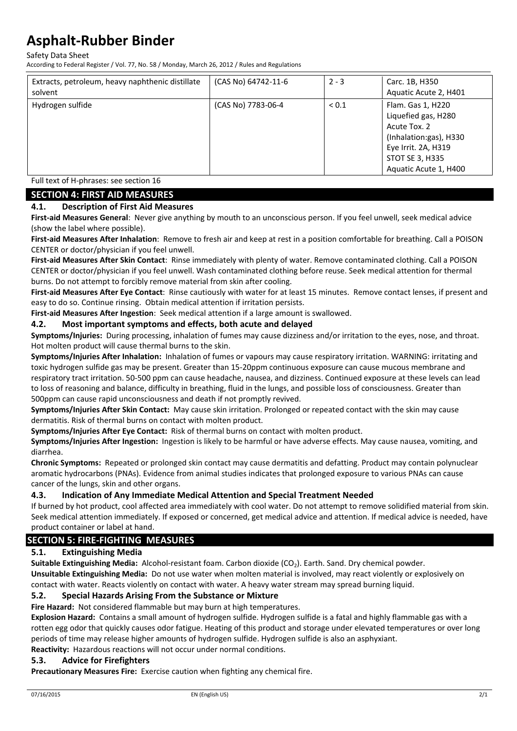Safety Data Sheet

According to Federal Register / Vol. 77, No. 58 / Monday, March 26, 2012 / Rules and Regulations

| Hydrogen sulfide<br>(CAS No) 7783-06-4<br>Flam. Gas 1, H220<br>${}_{0.1}$<br>Liquefied gas, H280<br>Acute Tox. 2<br>(Inhalation:gas), H330<br>Eye Irrit. 2A, H319<br><b>STOT SE 3, H335</b> | Extracts, petroleum, heavy naphthenic distillate<br>solvent | (CAS No) 64742-11-6 | $2 - 3$ | Carc. 1B, H350<br>Aquatic Acute 2, H401 |
|---------------------------------------------------------------------------------------------------------------------------------------------------------------------------------------------|-------------------------------------------------------------|---------------------|---------|-----------------------------------------|
| Aquatic Acute 1, H400                                                                                                                                                                       |                                                             |                     |         |                                         |

Full text of H-phrases: see section 16

## **SECTION 4: FIRST AID MEASURES**

#### **4.1. Description of First Aid Measures**

**First-aid Measures General**: Never give anything by mouth to an unconscious person. If you feel unwell, seek medical advice (show the label where possible).

**First-aid Measures After Inhalation**: Remove to fresh air and keep at rest in a position comfortable for breathing. Call a POISON CENTER or doctor/physician if you feel unwell.

**First-aid Measures After Skin Contact**: Rinse immediately with plenty of water. Remove contaminated clothing. Call a POISON CENTER or doctor/physician if you feel unwell. Wash contaminated clothing before reuse. Seek medical attention for thermal burns. Do not attempt to forcibly remove material from skin after cooling.

**First-aid Measures After Eye Contact**: Rinse cautiously with water for at least 15 minutes. Remove contact lenses, if present and easy to do so. Continue rinsing. Obtain medical attention if irritation persists.

**First-aid Measures After Ingestion**: Seek medical attention if a large amount is swallowed.

#### **4.2. Most important symptoms and effects, both acute and delayed**

**Symptoms/Injuries:** During processing, inhalation of fumes may cause dizziness and/or irritation to the eyes, nose, and throat. Hot molten product will cause thermal burns to the skin.

**Symptoms/Injuries After Inhalation:** Inhalation of fumes or vapours may cause respiratory irritation. WARNING: irritating and toxic hydrogen sulfide gas may be present. Greater than 15-20ppm continuous exposure can cause mucous membrane and respiratory tract irritation. 50-500 ppm can cause headache, nausea, and dizziness. Continued exposure at these levels can lead to loss of reasoning and balance, difficulty in breathing, fluid in the lungs, and possible loss of consciousness. Greater than 500ppm can cause rapid unconsciousness and death if not promptly revived.

**Symptoms/Injuries After Skin Contact:** May cause skin irritation. Prolonged or repeated contact with the skin may cause dermatitis. Risk of thermal burns on contact with molten product.

**Symptoms/Injuries After Eye Contact:** Risk of thermal burns on contact with molten product.

**Symptoms/Injuries After Ingestion:** Ingestion is likely to be harmful or have adverse effects. May cause nausea, vomiting, and diarrhea.

**Chronic Symptoms:** Repeated or prolonged skin contact may cause dermatitis and defatting. Product may contain polynuclear aromatic hydrocarbons (PNAs). Evidence from animal studies indicates that prolonged exposure to various PNAs can cause cancer of the lungs, skin and other organs.

### **4.3. Indication of Any Immediate Medical Attention and Special Treatment Needed**

If burned by hot product, cool affected area immediately with cool water. Do not attempt to remove solidified material from skin. Seek medical attention immediately. If exposed or concerned, get medical advice and attention. If medical advice is needed, have product container or label at hand.

## **SECTION 5: FIRE-FIGHTING MEASURES**

### **5.1. Extinguishing Media**

**Suitable Extinguishing Media:** Alcohol-resistant foam. Carbon dioxide (CO<sub>2</sub>). Earth. Sand. Dry chemical powder. **Unsuitable Extinguishing Media:** Do not use water when molten material is involved, may react violently or explosively on contact with water. Reacts violently on contact with water. A heavy water stream may spread burning liquid.

### **5.2. Special Hazards Arising From the Substance or Mixture**

**Fire Hazard:** Not considered flammable but may burn at high temperatures.

**Explosion Hazard:** Contains a small amount of hydrogen sulfide. Hydrogen sulfide is a fatal and highly flammable gas with a rotten egg odor that quickly causes odor fatigue. Heating of this product and storage under elevated temperatures or over long periods of time may release higher amounts of hydrogen sulfide. Hydrogen sulfide is also an asphyxiant.

**Reactivity:** Hazardous reactions will not occur under normal conditions.

#### **5.3. Advice for Firefighters**

**Precautionary Measures Fire:** Exercise caution when fighting any chemical fire.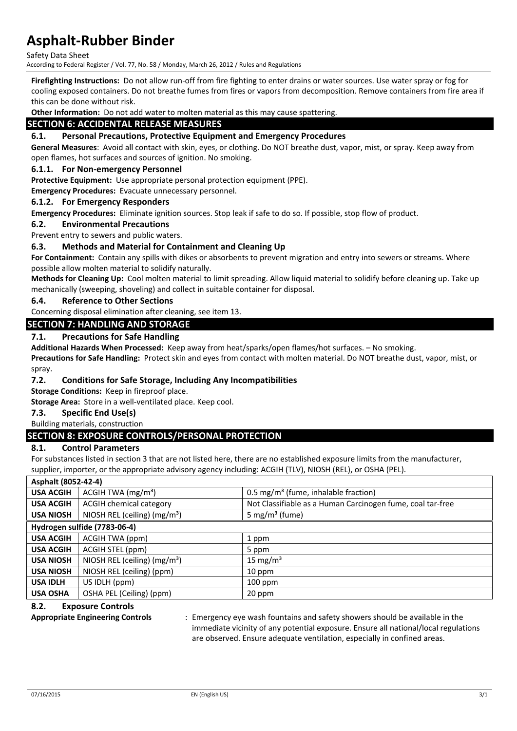Safety Data Sheet

According to Federal Register / Vol. 77, No. 58 / Monday, March 26, 2012 / Rules and Regulations

**Firefighting Instructions:** Do not allow run-off from fire fighting to enter drains or water sources. Use water spray or fog for cooling exposed containers. Do not breathe fumes from fires or vapors from decomposition. Remove containers from fire area if this can be done without risk.

**Other Information:** Do not add water to molten material as this may cause spattering.

## **SECTION 6: ACCIDENTAL RELEASE MEASURES**

#### **6.1. Personal Precautions, Protective Equipment and Emergency Procedures**

**General Measures**: Avoid all contact with skin, eyes, or clothing. Do NOT breathe dust, vapor, mist, or spray. Keep away from open flames, hot surfaces and sources of ignition. No smoking.

#### **6.1.1. For Non-emergency Personnel**

**Protective Equipment:** Use appropriate personal protection equipment (PPE).

**Emergency Procedures:** Evacuate unnecessary personnel.

#### **6.1.2. For Emergency Responders**

**Emergency Procedures:** Eliminate ignition sources. Stop leak if safe to do so. If possible, stop flow of product.

#### **6.2. Environmental Precautions**

Prevent entry to sewers and public waters.

#### **6.3. Methods and Material for Containment and Cleaning Up**

**For Containment:** Contain any spills with dikes or absorbents to prevent migration and entry into sewers or streams. Where possible allow molten material to solidify naturally.

**Methods for Cleaning Up:** Cool molten material to limit spreading. Allow liquid material to solidify before cleaning up. Take up mechanically (sweeping, shoveling) and collect in suitable container for disposal.

#### **6.4. Reference to Other Sections**

Concerning disposal elimination after cleaning, see item 13.

#### **SECTION 7: HANDLING AND STORAGE**

#### **7.1. Precautions for Safe Handling**

**Additional Hazards When Processed:** Keep away from heat/sparks/open flames/hot surfaces. – No smoking.

**Precautions for Safe Handling:** Protect skin and eyes from contact with molten material. Do NOT breathe dust, vapor, mist, or spray.

#### **7.2. Conditions for Safe Storage, Including Any Incompatibilities**

**Storage Conditions:** Keep in fireproof place.

**Storage Area:** Store in a well-ventilated place. Keep cool.

#### **7.3. Specific End Use(s)**

#### Building materials, construction

### **SECTION 8: EXPOSURE CONTROLS/PERSONAL PROTECTION**

#### **8.1. Control Parameters**

For substances listed in section 3 that are not listed here, there are no established exposure limits from the manufacturer, supplier, importer, or the appropriate advisory agency including: ACGIH (TLV), NIOSH (REL), or OSHA (PEL).

| Asphalt (8052-42-4) |                                |                                                            |
|---------------------|--------------------------------|------------------------------------------------------------|
| <b>USA ACGIH</b>    | ACGIH TWA (mg/m <sup>3</sup> ) | 0.5 mg/m <sup>3</sup> (fume, inhalable fraction)           |
| <b>USA ACGIH</b>    | <b>ACGIH chemical category</b> | Not Classifiable as a Human Carcinogen fume, coal tar-free |
| <b>USA NIOSH</b>    | NIOSH REL (ceiling) $(mg/m3)$  | 5 mg/m <sup>3</sup> (fume)                                 |
|                     | Hydrogen sulfide (7783-06-4)   |                                                            |
| <b>USA ACGIH</b>    | ACGIH TWA (ppm)                | 1 ppm                                                      |
| <b>USA ACGIH</b>    | ACGIH STEL (ppm)               | 5 ppm                                                      |
| <b>USA NIOSH</b>    | NIOSH REL (ceiling) $(mg/m3)$  | 15 mg/m <sup>3</sup>                                       |
| <b>USA NIOSH</b>    | NIOSH REL (ceiling) (ppm)      | 10 ppm                                                     |
| <b>USA IDLH</b>     | US IDLH (ppm)                  | $100$ ppm                                                  |
| <b>USA OSHA</b>     | OSHA PEL (Ceiling) (ppm)       | 20 ppm                                                     |

#### **8.2. Exposure Controls**

**Appropriate Engineering Controls** : Emergency eye wash fountains and safety showers should be available in the immediate vicinity of any potential exposure. Ensure all national/local regulations are observed. Ensure adequate ventilation, especially in confined areas.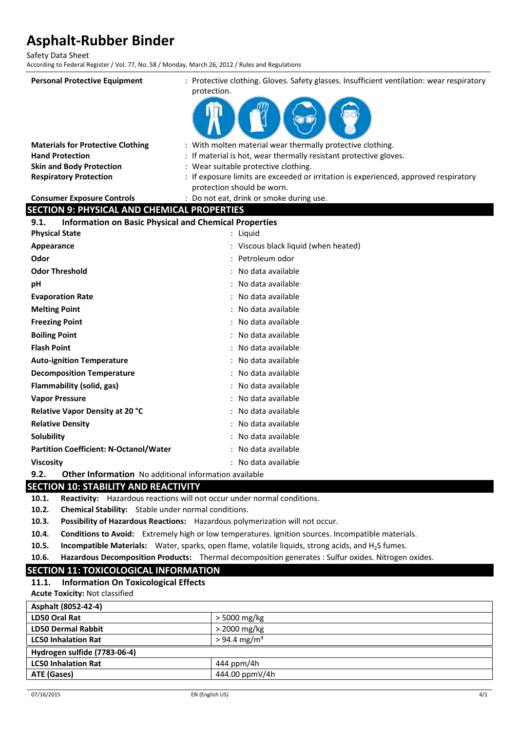Safety Data Sheet

According to Federal Register / Vol. 77, No. 58 / Monday, March 26, 2012 / Rules and Regulations

| <b>Personal Protective Equipment</b>                                 | : Protective clothing. Gloves. Safety glasses. Insufficient ventilation: wear respiratory                          |
|----------------------------------------------------------------------|--------------------------------------------------------------------------------------------------------------------|
|                                                                      | protection.                                                                                                        |
|                                                                      |                                                                                                                    |
|                                                                      |                                                                                                                    |
| <b>Materials for Protective Clothing</b>                             | : With molten material wear thermally protective clothing.                                                         |
| <b>Hand Protection</b>                                               | If material is hot, wear thermally resistant protective gloves.                                                    |
| <b>Skin and Body Protection</b>                                      | : Wear suitable protective clothing.                                                                               |
| <b>Respiratory Protection</b>                                        | : If exposure limits are exceeded or irritation is experienced, approved respiratory<br>protection should be worn. |
| <b>Consumer Exposure Controls</b>                                    | : Do not eat, drink or smoke during use.                                                                           |
| <b>SECTION 9: PHYSICAL AND CHEMICAL PROPERTIES</b>                   |                                                                                                                    |
| <b>Information on Basic Physical and Chemical Properties</b><br>9.1. |                                                                                                                    |
| <b>Physical State</b>                                                | : Liquid                                                                                                           |
| Appearance                                                           | : Viscous black liquid (when heated)                                                                               |
| Odor                                                                 | Petroleum odor                                                                                                     |
| <b>Odor Threshold</b>                                                | No data available                                                                                                  |
| рH                                                                   | : No data available                                                                                                |
| <b>Evaporation Rate</b>                                              | No data available                                                                                                  |
| <b>Melting Point</b>                                                 | No data available                                                                                                  |
| <b>Freezing Point</b>                                                | No data available                                                                                                  |
| <b>Boiling Point</b>                                                 | No data available                                                                                                  |
| <b>Flash Point</b>                                                   | No data available                                                                                                  |
| <b>Auto-ignition Temperature</b>                                     | No data available                                                                                                  |
| <b>Decomposition Temperature</b>                                     | No data available                                                                                                  |
| <b>Flammability (solid, gas)</b>                                     | : No data available                                                                                                |
| <b>Vapor Pressure</b>                                                | No data available                                                                                                  |
| Relative Vapor Density at 20 °C                                      | No data available                                                                                                  |
| <b>Relative Density</b>                                              | No data available                                                                                                  |
| Solubility                                                           | No data available                                                                                                  |
| <b>Partition Coefficient: N-Octanol/Water</b>                        | No data available                                                                                                  |
| <b>Viscosity</b>                                                     | : No data available                                                                                                |
| 9.2.<br><b>Other Information</b> No additional information available |                                                                                                                    |

## **SECTION 10: STABILITY AND REACTIVITY**

**10.1. Reactivity:** Hazardous reactions will not occur under normal conditions.

**10.2. Chemical Stability:** Stable under normal conditions.

**10.3. Possibility of Hazardous Reactions:** Hazardous polymerization will not occur.

- **10.4. Conditions to Avoid:** Extremely high or low temperatures. Ignition sources. Incompatible materials.
- **10.5. Incompatible Materials:** Water, sparks, open flame, volatile liquids, strong acids, and H<sub>2</sub>S fumes.
- **10.6. Hazardous Decomposition Products:** Thermal decomposition generates : Sulfur oxides. Nitrogen oxides.

# **SECTION 11: TOXICOLOGICAL INFORMATION**

**11.1. Information On Toxicological Effects**

**Acute Toxicity:** Not classified

| LD50 Oral Rat<br>$>$ 5000 mg/kg<br><b>LD50 Dermal Rabbit</b><br>> 2000 mg/kg<br>$> 94.4$ mg/m <sup>3</sup><br><b>LC50 Inhalation Rat</b><br>Hydrogen sulfide (7783-06-4) | Asphalt (8052-42-4)        |            |
|--------------------------------------------------------------------------------------------------------------------------------------------------------------------------|----------------------------|------------|
|                                                                                                                                                                          |                            |            |
|                                                                                                                                                                          |                            |            |
|                                                                                                                                                                          |                            |            |
|                                                                                                                                                                          |                            |            |
|                                                                                                                                                                          | <b>LC50 Inhalation Rat</b> | 444 ppm/4h |
| 444.00 ppmV/4h<br>ATE (Gases)                                                                                                                                            |                            |            |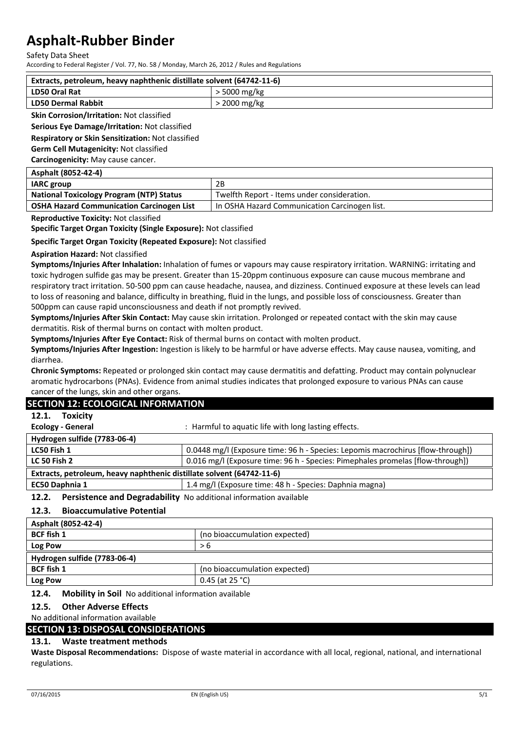Safety Data Sheet

According to Federal Register / Vol. 77, No. 58 / Monday, March 26, 2012 / Rules and Regulations

| Extracts, petroleum, heavy naphthenic distillate solvent (64742-11-6) |                |
|-----------------------------------------------------------------------|----------------|
| <b>LD50 Oral Rat</b>                                                  | $>$ 5000 mg/kg |
| LD50 Dermal Rabbit                                                    | > 2000 mg/kg   |

#### **Skin Corrosion/Irritation:** Not classified

**Serious Eye Damage/Irritation:** Not classified

**Respiratory or Skin Sensitization:** Not classified

**Germ Cell Mutagenicity:** Not classified

**Carcinogenicity:** May cause cancer.

| Asphalt (8052-42-4)                              |                                               |
|--------------------------------------------------|-----------------------------------------------|
| <b>IARC</b> group                                | 2B                                            |
| <b>National Toxicology Program (NTP) Status</b>  | Twelfth Report - Items under consideration.   |
| <b>OSHA Hazard Communication Carcinogen List</b> | In OSHA Hazard Communication Carcinogen list. |
|                                                  |                                               |

**Reproductive Toxicity:** Not classified

**Specific Target Organ Toxicity (Single Exposure):** Not classified

**Specific Target Organ Toxicity (Repeated Exposure):** Not classified

#### **Aspiration Hazard:** Not classified

**Symptoms/Injuries After Inhalation:** Inhalation of fumes or vapours may cause respiratory irritation. WARNING: irritating and toxic hydrogen sulfide gas may be present. Greater than 15-20ppm continuous exposure can cause mucous membrane and respiratory tract irritation. 50-500 ppm can cause headache, nausea, and dizziness. Continued exposure at these levels can lead to loss of reasoning and balance, difficulty in breathing, fluid in the lungs, and possible loss of consciousness. Greater than 500ppm can cause rapid unconsciousness and death if not promptly revived.

**Symptoms/Injuries After Skin Contact:** May cause skin irritation. Prolonged or repeated contact with the skin may cause dermatitis. Risk of thermal burns on contact with molten product.

**Symptoms/Injuries After Eye Contact:** Risk of thermal burns on contact with molten product.

**Symptoms/Injuries After Ingestion:** Ingestion is likely to be harmful or have adverse effects. May cause nausea, vomiting, and diarrhea.

**Chronic Symptoms:** Repeated or prolonged skin contact may cause dermatitis and defatting. Product may contain polynuclear aromatic hydrocarbons (PNAs). Evidence from animal studies indicates that prolonged exposure to various PNAs can cause cancer of the lungs, skin and other organs.

### **SECTION 12: ECOLOGICAL INFORMATION**

#### **12.1. Toxicity**

| Ecology - General                                                     | : Harmful to aquatic life with long lasting effects.                            |  |
|-----------------------------------------------------------------------|---------------------------------------------------------------------------------|--|
| Hydrogen sulfide (7783-06-4)                                          |                                                                                 |  |
| LC50 Fish 1                                                           | 0.0448 mg/l (Exposure time: 96 h - Species: Lepomis macrochirus [flow-through]) |  |
| <b>LC 50 Fish 2</b>                                                   | 0.016 mg/l (Exposure time: 96 h - Species: Pimephales promelas [flow-through])  |  |
| Extracts, petroleum, heavy naphthenic distillate solvent (64742-11-6) |                                                                                 |  |
| EC50 Daphnia 1                                                        | 1.4 mg/l (Exposure time: 48 h - Species: Daphnia magna)                         |  |
|                                                                       |                                                                                 |  |

**12.2. Persistence and Degradability** No additional information available

### **12.3. Bioaccumulative Potential**

| Asphalt (8052-42-4)          |                               |
|------------------------------|-------------------------------|
| <b>BCF</b> fish 1            | (no bioaccumulation expected) |
| Log Pow                      | > 6                           |
| Hydrogen sulfide (7783-06-4) |                               |
| <b>BCF</b> fish 1            | (no bioaccumulation expected) |
| Log Pow                      | 0.45 (at 25 $°C$ )            |

#### **12.4. Mobility in Soil** No additional information available

#### **12.5. Other Adverse Effects**

No additional information available

|  | <b>SECTION 13: DISPOSAL CONSIDERATIONS</b> |  |
|--|--------------------------------------------|--|
|  |                                            |  |

### **13.1. Waste treatment methods**

**Waste Disposal Recommendations:** Dispose of waste material in accordance with all local, regional, national, and international regulations.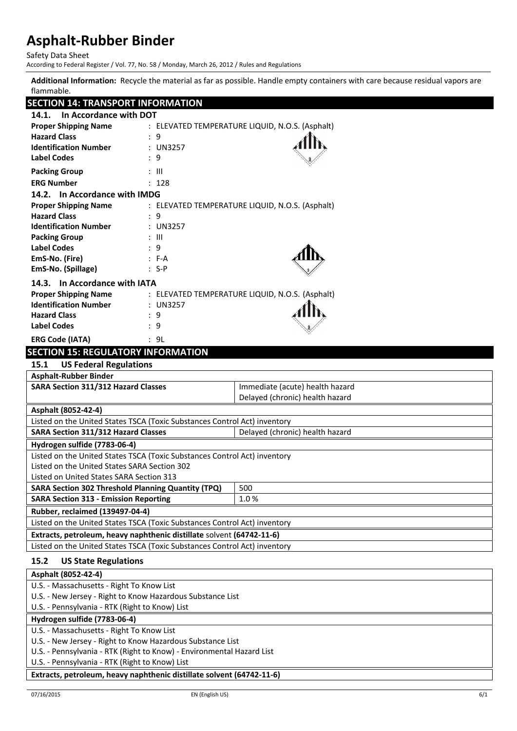Safety Data Sheet

According to Federal Register / Vol. 77, No. 58 / Monday, March 26, 2012 / Rules and Regulations

**Additional Information:** Recycle the material as far as possible. Handle empty containers with care because residual vapors are flammable.

# **SECTION 14: TRANSPORT INFORMATION**

| <u>JELIIUN 14. IKANJPUKI INFUKIVIAI IUN</u>                                   |                                                 |  |
|-------------------------------------------------------------------------------|-------------------------------------------------|--|
| In Accordance with DOT<br>14.1.                                               |                                                 |  |
| <b>Proper Shipping Name</b>                                                   | : ELEVATED TEMPERATURE LIQUID, N.O.S. (Asphalt) |  |
| <b>Hazard Class</b><br>: 9                                                    |                                                 |  |
| <b>Identification Number</b><br>: UN3257                                      |                                                 |  |
| <b>Label Codes</b><br>: 9                                                     |                                                 |  |
| <b>Packing Group</b><br>: III                                                 |                                                 |  |
| <b>ERG Number</b><br>: 128                                                    |                                                 |  |
| 14.2. In Accordance with IMDG                                                 |                                                 |  |
| <b>Proper Shipping Name</b>                                                   | : ELEVATED TEMPERATURE LIQUID, N.O.S. (Asphalt) |  |
| <b>Hazard Class</b><br>: 9                                                    |                                                 |  |
| <b>Identification Number</b><br>: UN3257                                      |                                                 |  |
| <b>Packing Group</b><br>: III                                                 |                                                 |  |
| <b>Label Codes</b><br>: 9                                                     |                                                 |  |
| EmS-No. (Fire)<br>$: F-A$                                                     |                                                 |  |
| EmS-No. (Spillage)<br>$: S-P$                                                 |                                                 |  |
| 14.3. In Accordance with IATA                                                 |                                                 |  |
| <b>Proper Shipping Name</b>                                                   | : ELEVATED TEMPERATURE LIQUID, N.O.S. (Asphalt) |  |
| <b>Identification Number</b><br>: UN3257                                      |                                                 |  |
| <b>Hazard Class</b><br>: 9                                                    |                                                 |  |
| <b>Label Codes</b><br>: 9                                                     |                                                 |  |
| <b>ERG Code (IATA)</b><br>: 9L                                                |                                                 |  |
| <b>SECTION 15: REGULATORY INFORMATION</b>                                     |                                                 |  |
| <b>US Federal Regulations</b><br>15.1                                         |                                                 |  |
| <b>Asphalt-Rubber Binder</b>                                                  |                                                 |  |
| <b>SARA Section 311/312 Hazard Classes</b><br>Immediate (acute) health hazard |                                                 |  |
| Delayed (chronic) health hazard                                               |                                                 |  |
| Asphalt (8052-42-4)                                                           |                                                 |  |
| Listed on the United States TSCA (Toxic Substances Control Act) inventory     |                                                 |  |
| Delayed (chronic) health hazard<br><b>SARA Section 311/312 Hazard Classes</b> |                                                 |  |
| Hydrogen sulfide (7783-06-4)                                                  |                                                 |  |
| Listed on the United States TSCA (Toxic Substances Control Act) inventory     |                                                 |  |
| Listed on the United States SARA Section 302                                  |                                                 |  |
| Listed on United States SARA Section 313                                      |                                                 |  |
| <b>SARA Section 302 Threshold Planning Quantity (TPQ)</b><br>500              |                                                 |  |
| <b>SARA Section 313 - Emission Reporting</b><br>1.0%                          |                                                 |  |
| Rubber, reclaimed (139497-04-4)                                               |                                                 |  |
| Listed on the United States TSCA (Toxic Substances Control Act) inventory     |                                                 |  |
| Extracts, petroleum, heavy naphthenic distillate solvent (64742-11-6)         |                                                 |  |
| Listed on the United States TSCA (Toxic Substances Control Act) inventory     |                                                 |  |
| 15.2<br><b>US State Regulations</b>                                           |                                                 |  |
| Asphalt (8052-42-4)                                                           |                                                 |  |
| U.S. - Massachusetts - Right To Know List                                     |                                                 |  |
| U.S. - New Jersey - Right to Know Hazardous Substance List                    |                                                 |  |
| U.S. - Pennsylvania - RTK (Right to Know) List                                |                                                 |  |
| Hydrogen sulfide (7783-06-4)                                                  |                                                 |  |

U.S. - Massachusetts - Right To Know List

U.S. - New Jersey - Right to Know Hazardous Substance List

U.S. - Pennsylvania - RTK (Right to Know) - Environmental Hazard List

U.S. - Pennsylvania - RTK (Right to Know) List

**Extracts, petroleum, heavy naphthenic distillate solvent (64742-11-6)**